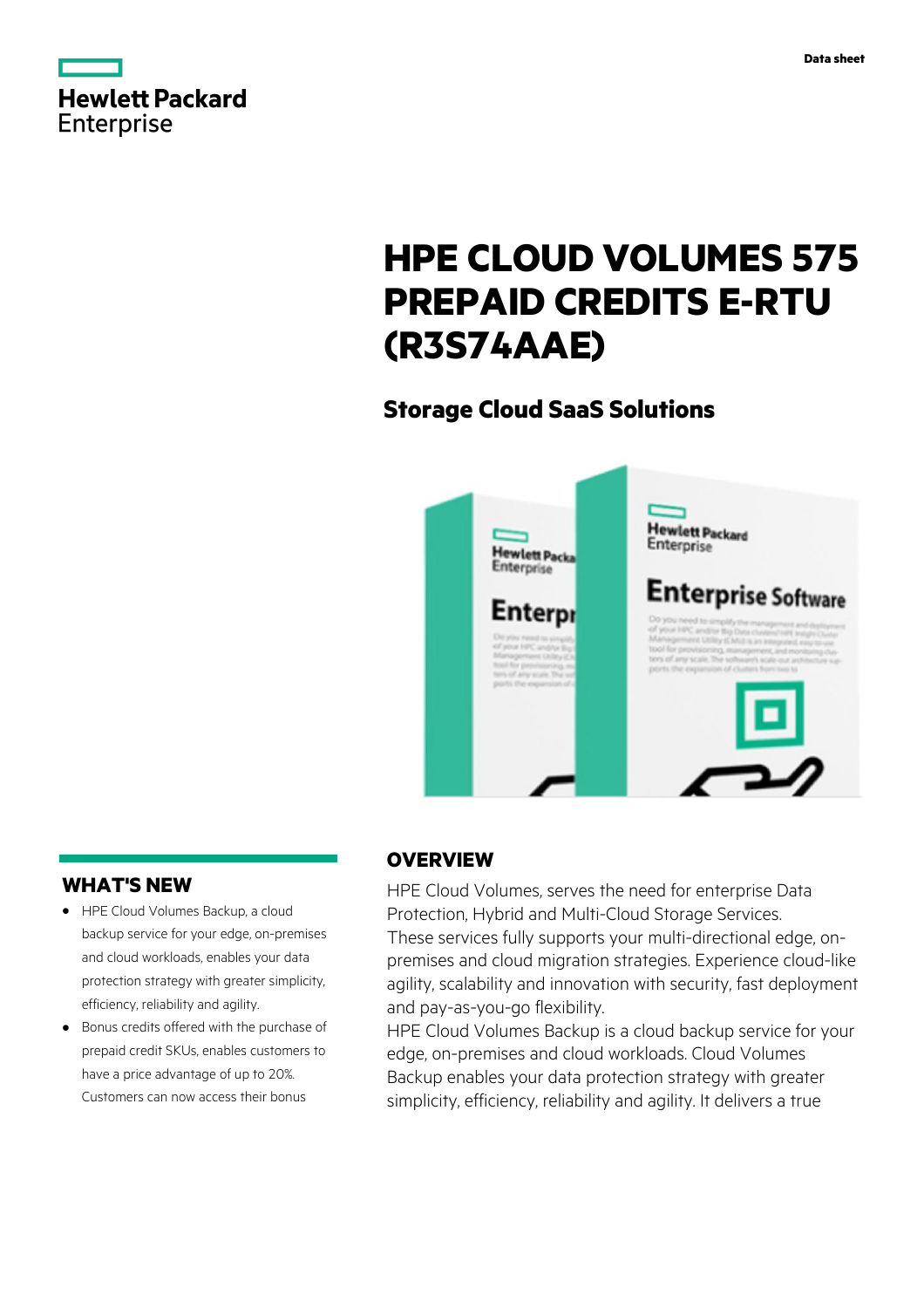



# **HPE CLOUD VOLUMES 575 PREPAID CREDITS E-RTU (R3S74AAE)**

# **Storage Cloud SaaS Solutions**



## **WHAT'S NEW**

- **·** HPE Cloud Volumes Backup, a cloud backup service for your edge, on-premises and cloud workloads, enables your data protection strategy with greater simplicity, efficiency, reliability and agility.
- **·** Bonus credits offered with the purchase of prepaid credit SKUs, enables customers to have a price advantage of up to 20%. Customers can now access their bonus

## **OVERVIEW**

HPE Cloud Volumes, serves the need for enterprise Data Protection, Hybrid and Multi-Cloud Storage Services. These services fully supports your multi-directional edge, onpremises and cloud migration strategies. Experience cloud-like agility, scalability and innovation with security, fast deployment and pay-as-you-go flexibility.

HPE Cloud Volumes Backup is a cloud backup service for your edge, on-premises and cloud workloads. Cloud Volumes Backup enables your data protection strategy with greater simplicity, efficiency, reliability and agility. It delivers a true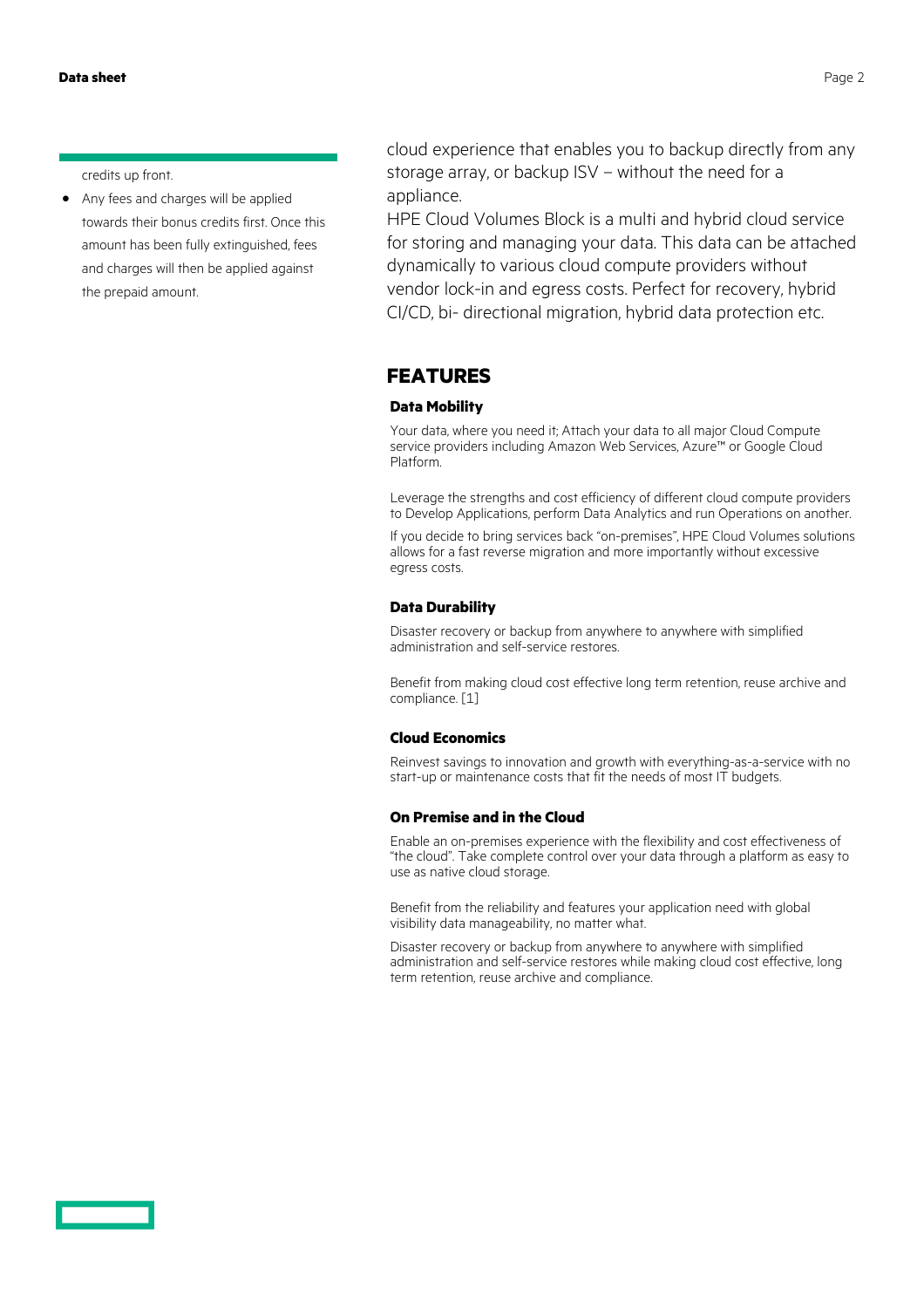credits up front.

**·** Any fees and charges will be applied towards their bonus credits first. Once this amount has been fully extinguished, fees and charges will then be applied against the prepaid amount.

cloud experience that enables you to backup directly from any storage array, or backup ISV – without the need for a appliance.

HPE Cloud Volumes Block is a multi and hybrid cloud service for storing and managing your data. This data can be attached dynamically to various cloud compute providers without vendor lock-in and egress costs. Perfect for recovery, hybrid CI/CD, bi- directional migration, hybrid data protection etc.

#### **FEATURES**

#### **Data Mobility**

Your data, where you need it; Attach your data to all major Cloud Compute service providers including Amazon Web Services, Azure™ or Google Cloud Platform.

Leverage the strengths and cost efficiency of different cloud compute providers to Develop Applications, perform Data Analytics and run Operations on another.

If you decide to bring services back "on-premises", HPE Cloud Volumes solutions allows for a fast reverse migration and more importantly without excessive egress costs.

#### **Data Durability**

Disaster recovery or backup from anywhere to anywhere with simplified administration and self-service restores.

Benefit from making cloud cost effective long term retention, reuse archive and compliance. [1]

#### **Cloud Economics**

Reinvest savings to innovation and growth with everything-as-a-service with no start-up or maintenance costs that fit the needs of most IT budgets.

#### **On Premise and in the Cloud**

Enable an on-premises experience with the flexibility and cost effectiveness of "the cloud". Take complete control over your data through a platform as easy to use as native cloud storage.

Benefit from the reliability and features your application need with global visibility data manageability, no matter what.

Disaster recovery or backup from anywhere to anywhere with simplified administration and self-service restores while making cloud cost effective, long term retention, reuse archive and compliance.